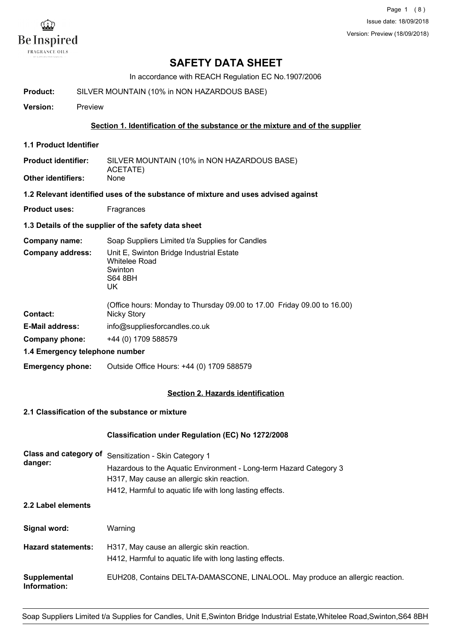

# **SAFETY DATA SHEET**

In accordance with REACH Regulation EC No.1907/2006

| Product: | SILVER MOUNTAIN (10% in NON HAZARDOUS BASE) |
|----------|---------------------------------------------|
|          |                                             |

**Version:** Preview

### **Section 1. Identification of the substance or the mixture and of the supplier**

**1.1 Product Identifier**

SILVER MOUNTAIN (10% in NON HAZARDOUS BASE) ACETATE) **Product identifier: Other identifiers:** None

**1.2 Relevant identified uses of the substance of mixture and uses advised against**

**Product uses:** Fragrances

**1.3 Details of the supplier of the safety data sheet**

**Company name:** Soap Suppliers Limited t/a Supplies for Candles

| Company address: | Unit E, Swinton Bridge Industrial Estate<br><b>Whitelee Road</b><br>Swinton<br>S64 8BH<br>UK |
|------------------|----------------------------------------------------------------------------------------------|
|                  |                                                                                              |

| Contact:                       | (Office hours: Monday to Thursday 09.00 to 17.00 Friday 09.00 to 16.00)<br>Nicky Story |
|--------------------------------|----------------------------------------------------------------------------------------|
| <b>E-Mail address:</b>         | info@suppliesforcandles.co.uk                                                          |
| Company phone:                 | +44 (0) 1709 588579                                                                    |
| 4 4 Emarganau talanhana numbar |                                                                                        |

**1.4 Emergency telephone number**

**Emergency phone:** Outside Office Hours: +44 (0) 1709 588579

## **Section 2. Hazards identification**

## **2.1 Classification of the substance or mixture**

## **Classification under Regulation (EC) No 1272/2008**

| Class and category of        | Sensitization - Skin Category 1                                               |  |  |
|------------------------------|-------------------------------------------------------------------------------|--|--|
| danger:                      | Hazardous to the Aquatic Environment - Long-term Hazard Category 3            |  |  |
|                              | H317, May cause an allergic skin reaction.                                    |  |  |
|                              | H412, Harmful to aquatic life with long lasting effects.                      |  |  |
| 2.2 Label elements           |                                                                               |  |  |
| Signal word:                 | Warning                                                                       |  |  |
| <b>Hazard statements:</b>    | H317, May cause an allergic skin reaction.                                    |  |  |
|                              | H412, Harmful to aquatic life with long lasting effects.                      |  |  |
| Supplemental<br>Information: | EUH208, Contains DELTA-DAMASCONE, LINALOOL. May produce an allergic reaction. |  |  |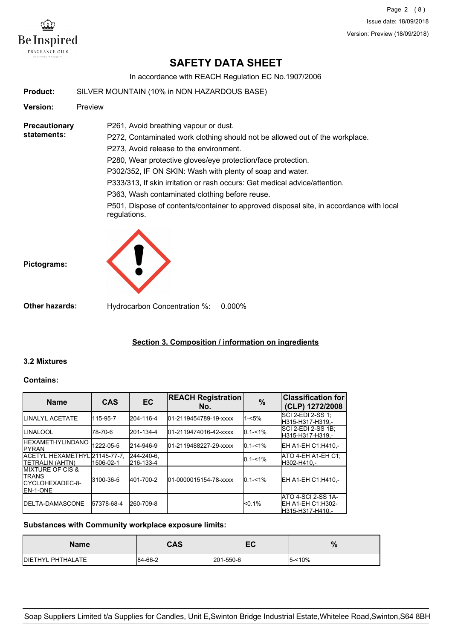

Page 2 (8) Issue date: 18/09/2018 Version: Preview (18/09/2018)

# **SAFETY DATA SHEET**

In accordance with REACH Regulation EC No.1907/2006

**Product:** SILVER MOUNTAIN (10% in NON HAZARDOUS BASE)

**Version:** Preview

**Precautionary statements:**

P272, Contaminated work clothing should not be allowed out of the workplace.

P273, Avoid release to the environment.

P261, Avoid breathing vapour or dust.

P280, Wear protective gloves/eye protection/face protection.

P302/352, IF ON SKIN: Wash with plenty of soap and water.

P333/313, If skin irritation or rash occurs: Get medical advice/attention.

P363, Wash contaminated clothing before reuse.

P501, Dispose of contents/container to approved disposal site, in accordance with local regulations.





**Other hazards:** Hydrocarbon Concentration %: 0.000%

## **Section 3. Composition / information on ingredients**

## **3.2 Mixtures**

#### **Contains:**

| <b>Name</b>                                                                            | <b>CAS</b> | EC                      | <b>REACH Registration</b><br>No. | $\frac{9}{6}$ | <b>Classification for</b><br>(CLP) 1272/2008                 |
|----------------------------------------------------------------------------------------|------------|-------------------------|----------------------------------|---------------|--------------------------------------------------------------|
| <b>ILINALYL ACETATE</b>                                                                | 115-95-7   | 204-116-4               | 01-2119454789-19-xxxx            | $1 - 5%$      | ISCI 2-EDI 2-SS 1:<br>H315-H317-H319.-                       |
| <b>ILINALOOL</b>                                                                       | 78-70-6    | 201-134-4               | 01-2119474016-42-xxxx            | $0.1 - 1\%$   | ISCI 2-EDI 2-SS 1B:<br>H315-H317-H319.-                      |
| <b>IHEXAMETHYLINDANO</b><br><b>IPYRAN</b>                                              | 1222-05-5  | 214-946-9               | 01-2119488227-29-xxxx            | $0.1 - 1\%$   | EH A1-EH C1:H410.-                                           |
| ACETYL HEXAMETHYL21145-77-7.<br><b>ITETRALIN (AHTN)</b>                                | 1506-02-1  | 244-240-6.<br>216-133-4 |                                  | $0.1 - 1\%$   | IATO 4-EH A1-EH C1:<br>H302-H410.-                           |
| <b>IMIXTURE OF CIS &amp;</b><br><b>I</b> TRANS<br>ICYCLOHEXADEC-8-<br><b>IEN-1-ONE</b> | 3100-36-5  | 401-700-2               | 01-0000015154-78-xxxx            | $0.1 - 1\%$   | EH A1-EH C1:H410.-                                           |
| <b>IDELTA-DAMASCONE</b>                                                                | 57378-68-4 | 260-709-8               |                                  | $< 0.1\%$     | IATO 4-SCI 2-SS 1A-<br>EH A1-EH C1:H302-<br>H315-H317-H410.- |

## **Substances with Community workplace exposure limits:**

| <b>Name</b>               | <b>CAS</b> | -0<br>--  | n.<br>70  |
|---------------------------|------------|-----------|-----------|
| <b>IDIETHYL PHTHALATE</b> | 84-66-2    | 201-550-6 | $5 - 10%$ |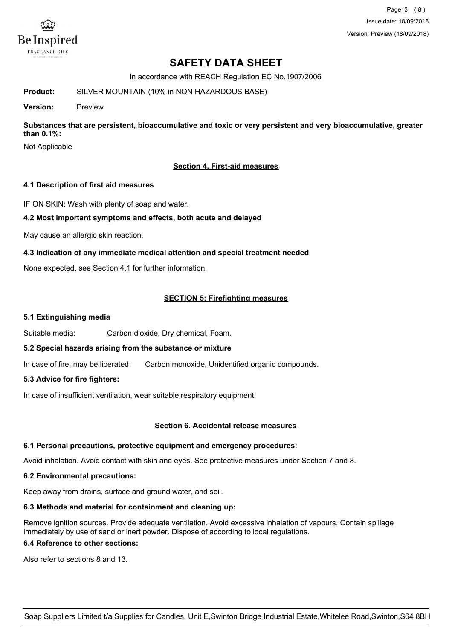

Page 3 (8) Issue date: 18/09/2018 Version: Preview (18/09/2018)

# **SAFETY DATA SHEET**

In accordance with REACH Regulation EC No.1907/2006

**Product:** SILVER MOUNTAIN (10% in NON HAZARDOUS BASE)

**Version:** Preview

**Substances that are persistent, bioaccumulative and toxic or very persistent and very bioaccumulative, greater than 0.1%:**

Not Applicable

## **Section 4. First-aid measures**

### **4.1 Description of first aid measures**

IF ON SKIN: Wash with plenty of soap and water.

### **4.2 Most important symptoms and effects, both acute and delayed**

May cause an allergic skin reaction.

## **4.3 Indication of any immediate medical attention and special treatment needed**

None expected, see Section 4.1 for further information.

## **SECTION 5: Firefighting measures**

#### **5.1 Extinguishing media**

Suitable media: Carbon dioxide, Dry chemical, Foam.

## **5.2 Special hazards arising from the substance or mixture**

In case of fire, may be liberated: Carbon monoxide, Unidentified organic compounds.

## **5.3 Advice for fire fighters:**

In case of insufficient ventilation, wear suitable respiratory equipment.

#### **Section 6. Accidental release measures**

#### **6.1 Personal precautions, protective equipment and emergency procedures:**

Avoid inhalation. Avoid contact with skin and eyes. See protective measures under Section 7 and 8.

#### **6.2 Environmental precautions:**

Keep away from drains, surface and ground water, and soil.

#### **6.3 Methods and material for containment and cleaning up:**

Remove ignition sources. Provide adequate ventilation. Avoid excessive inhalation of vapours. Contain spillage immediately by use of sand or inert powder. Dispose of according to local regulations.

### **6.4 Reference to other sections:**

Also refer to sections 8 and 13.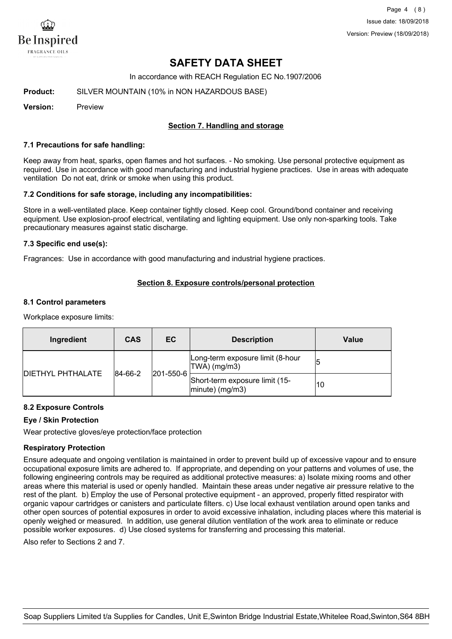

Page 4 (8) Issue date: 18/09/2018 Version: Preview (18/09/2018)

# **SAFETY DATA SHEET**

In accordance with REACH Regulation EC No.1907/2006

**Product:** SILVER MOUNTAIN (10% in NON HAZARDOUS BASE)

**Version:** Preview

### **Section 7. Handling and storage**

#### **7.1 Precautions for safe handling:**

Keep away from heat, sparks, open flames and hot surfaces. - No smoking. Use personal protective equipment as required. Use in accordance with good manufacturing and industrial hygiene practices. Use in areas with adequate ventilation Do not eat, drink or smoke when using this product.

#### **7.2 Conditions for safe storage, including any incompatibilities:**

Store in a well-ventilated place. Keep container tightly closed. Keep cool. Ground/bond container and receiving equipment. Use explosion-proof electrical, ventilating and lighting equipment. Use only non-sparking tools. Take precautionary measures against static discharge.

#### **7.3 Specific end use(s):**

Fragrances: Use in accordance with good manufacturing and industrial hygiene practices.

### **Section 8. Exposure controls/personal protection**

#### **8.1 Control parameters**

Workplace exposure limits:

| Ingredient                | <b>CAS</b>               | ЕC                                                   | <b>Description</b>                                | Value |
|---------------------------|--------------------------|------------------------------------------------------|---------------------------------------------------|-------|
|                           |                          |                                                      | Long-term exposure limit (8-hour<br> TWA  (mg/m3) |       |
| <b>IDIETHYL PHTHALATE</b> | 201-550-6<br>$ 84-66-2 $ | Short-term exposure limit (15-<br>$ minute)$ (mg/m3) | 10                                                |       |

## **8.2 Exposure Controls**

#### **Eye / Skin Protection**

Wear protective gloves/eye protection/face protection

#### **Respiratory Protection**

Ensure adequate and ongoing ventilation is maintained in order to prevent build up of excessive vapour and to ensure occupational exposure limits are adhered to. If appropriate, and depending on your patterns and volumes of use, the following engineering controls may be required as additional protective measures: a) Isolate mixing rooms and other areas where this material is used or openly handled. Maintain these areas under negative air pressure relative to the rest of the plant. b) Employ the use of Personal protective equipment - an approved, properly fitted respirator with organic vapour cartridges or canisters and particulate filters. c) Use local exhaust ventilation around open tanks and other open sources of potential exposures in order to avoid excessive inhalation, including places where this material is openly weighed or measured. In addition, use general dilution ventilation of the work area to eliminate or reduce possible worker exposures. d) Use closed systems for transferring and processing this material.

Also refer to Sections 2 and 7.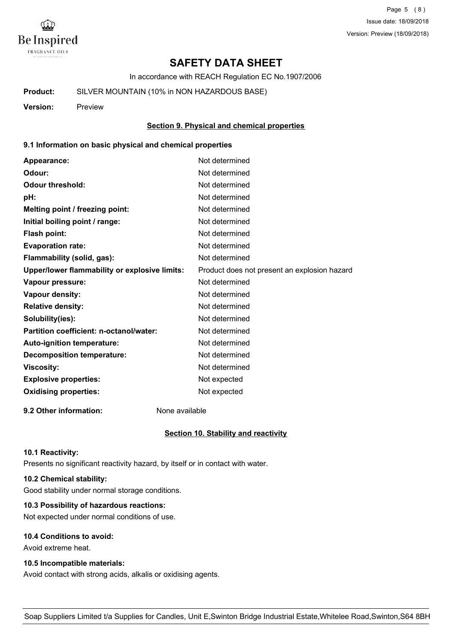

Page 5 (8) Issue date: 18/09/2018 Version: Preview (18/09/2018)

# **SAFETY DATA SHEET**

In accordance with REACH Regulation EC No.1907/2006

**Product:** SILVER MOUNTAIN (10% in NON HAZARDOUS BASE)

**Version:** Preview

**Section 9. Physical and chemical properties**

### **9.1 Information on basic physical and chemical properties**

| Appearance:                                   | Not determined                               |
|-----------------------------------------------|----------------------------------------------|
| Odour:                                        | Not determined                               |
| <b>Odour threshold:</b>                       | Not determined                               |
| pH:                                           | Not determined                               |
| Melting point / freezing point:               | Not determined                               |
| Initial boiling point / range:                | Not determined                               |
| Flash point:                                  | Not determined                               |
| <b>Evaporation rate:</b>                      | Not determined                               |
| Flammability (solid, gas):                    | Not determined                               |
| Upper/lower flammability or explosive limits: | Product does not present an explosion hazard |
| Vapour pressure:                              | Not determined                               |
| <b>Vapour density:</b>                        | Not determined                               |
| <b>Relative density:</b>                      | Not determined                               |
| Solubility(ies):                              | Not determined                               |
| Partition coefficient: n-octanol/water:       | Not determined                               |
| Auto-ignition temperature:                    | Not determined                               |
| <b>Decomposition temperature:</b>             | Not determined                               |
| <b>Viscosity:</b>                             | Not determined                               |
| <b>Explosive properties:</b>                  | Not expected                                 |
| <b>Oxidising properties:</b>                  | Not expected                                 |
|                                               |                                              |

**9.2 Other information:** None available

#### **Section 10. Stability and reactivity**

#### **10.1 Reactivity:**

Presents no significant reactivity hazard, by itself or in contact with water.

## **10.2 Chemical stability:**

Good stability under normal storage conditions.

## **10.3 Possibility of hazardous reactions:**

Not expected under normal conditions of use.

## **10.4 Conditions to avoid:**

Avoid extreme heat.

## **10.5 Incompatible materials:**

Avoid contact with strong acids, alkalis or oxidising agents.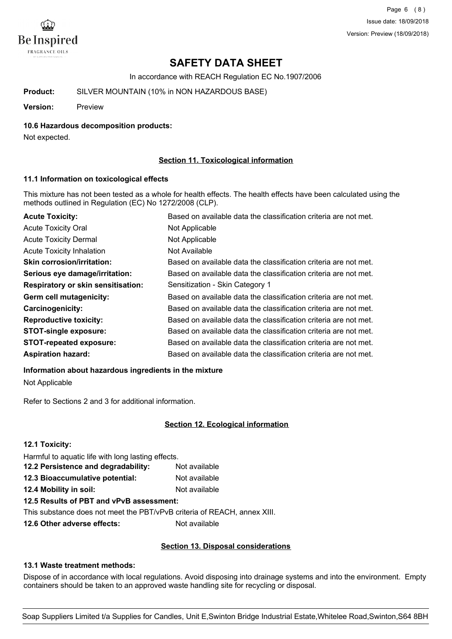

Page 6 (8) Issue date: 18/09/2018 Version: Preview (18/09/2018)

# **SAFETY DATA SHEET**

In accordance with REACH Regulation EC No.1907/2006

**Product:** SILVER MOUNTAIN (10% in NON HAZARDOUS BASE)

**Version:** Preview

#### **10.6 Hazardous decomposition products:**

Not expected.

### **Section 11. Toxicological information**

#### **11.1 Information on toxicological effects**

This mixture has not been tested as a whole for health effects. The health effects have been calculated using the methods outlined in Regulation (EC) No 1272/2008 (CLP).

| <b>Acute Toxicity:</b>                    | Based on available data the classification criteria are not met. |
|-------------------------------------------|------------------------------------------------------------------|
| <b>Acute Toxicity Oral</b>                | Not Applicable                                                   |
| <b>Acute Toxicity Dermal</b>              | Not Applicable                                                   |
| <b>Acute Toxicity Inhalation</b>          | Not Available                                                    |
| <b>Skin corrosion/irritation:</b>         | Based on available data the classification criteria are not met. |
| Serious eye damage/irritation:            | Based on available data the classification criteria are not met. |
| <b>Respiratory or skin sensitisation:</b> | Sensitization - Skin Category 1                                  |
| Germ cell mutagenicity:                   | Based on available data the classification criteria are not met. |
| <b>Carcinogenicity:</b>                   | Based on available data the classification criteria are not met. |
| <b>Reproductive toxicity:</b>             | Based on available data the classification criteria are not met. |
| <b>STOT-single exposure:</b>              | Based on available data the classification criteria are not met. |
| <b>STOT-repeated exposure:</b>            | Based on available data the classification criteria are not met. |
| <b>Aspiration hazard:</b>                 | Based on available data the classification criteria are not met. |

**Information about hazardous ingredients in the mixture** Not Applicable

Refer to Sections 2 and 3 for additional information.

## **Section 12. Ecological information**

| 12.1 Toxicity:                                     |               |  |
|----------------------------------------------------|---------------|--|
| Harmful to aquatic life with long lasting effects. |               |  |
| 12.2 Persistence and degradability:                | Not available |  |
| 12.3 Bioaccumulative potential:                    | Not available |  |
| 12.4 Mobility in soil:                             | Not available |  |
| 12.5 Results of PBT and vPvB assessment:           |               |  |
|                                                    |               |  |

This substance does not meet the PBT/vPvB criteria of REACH, annex XIII.

**12.6 Other adverse effects:** Not available

#### **Section 13. Disposal considerations**

#### **13.1 Waste treatment methods:**

Dispose of in accordance with local regulations. Avoid disposing into drainage systems and into the environment. Empty containers should be taken to an approved waste handling site for recycling or disposal.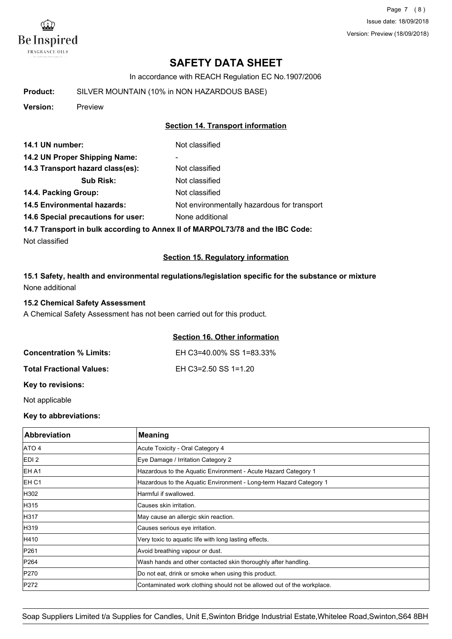

Page 7 (8) Issue date: 18/09/2018 Version: Preview (18/09/2018)

# **SAFETY DATA SHEET**

In accordance with REACH Regulation EC No.1907/2006

**Product:** SILVER MOUNTAIN (10% in NON HAZARDOUS BASE)

**Version:** Preview

## **Section 14. Transport information**

| 14.1 UN number:                    | Not classified                              |
|------------------------------------|---------------------------------------------|
| 14.2 UN Proper Shipping Name:      | ۰                                           |
| 14.3 Transport hazard class(es):   | Not classified                              |
| <b>Sub Risk:</b>                   | Not classified                              |
| 14.4. Packing Group:               | Not classified                              |
| <b>14.5 Environmental hazards:</b> | Not environmentally hazardous for transport |
| 14.6 Special precautions for user: | None additional                             |
|                                    |                                             |

**14.7 Transport in bulk according to Annex II of MARPOL73/78 and the IBC Code:**

Not classified

### **Section 15. Regulatory information**

**15.1 Safety, health and environmental regulations/legislation specific for the substance or mixture** None additional

### **15.2 Chemical Safety Assessment**

A Chemical Safety Assessment has not been carried out for this product.

## **Section 16. Other information**

| <b>Concentration % Limits:</b>  | EH C3=40.00% SS 1=83.33% |
|---------------------------------|--------------------------|
| <b>Total Fractional Values:</b> | EH C3=2.50 SS 1=1.20     |

**Key to revisions:**

Not applicable

## **Key to abbreviations:**

| <b>Abbreviation</b> | Meaning                                                                |
|---------------------|------------------------------------------------------------------------|
| ATO 4               | Acute Toxicity - Oral Category 4                                       |
| EDI <sub>2</sub>    | Eye Damage / Irritation Category 2                                     |
| EH A1               | Hazardous to the Aquatic Environment - Acute Hazard Category 1         |
| EH C1               | Hazardous to the Aquatic Environment - Long-term Hazard Category 1     |
| H302                | Harmful if swallowed.                                                  |
| H315                | Causes skin irritation.                                                |
| H317                | May cause an allergic skin reaction.                                   |
| H319                | Causes serious eye irritation.                                         |
| H410                | Very toxic to aquatic life with long lasting effects.                  |
| P261                | Avoid breathing vapour or dust.                                        |
| P264                | Wash hands and other contacted skin thoroughly after handling.         |
| P270                | Do not eat, drink or smoke when using this product.                    |
| P272                | Contaminated work clothing should not be allowed out of the workplace. |